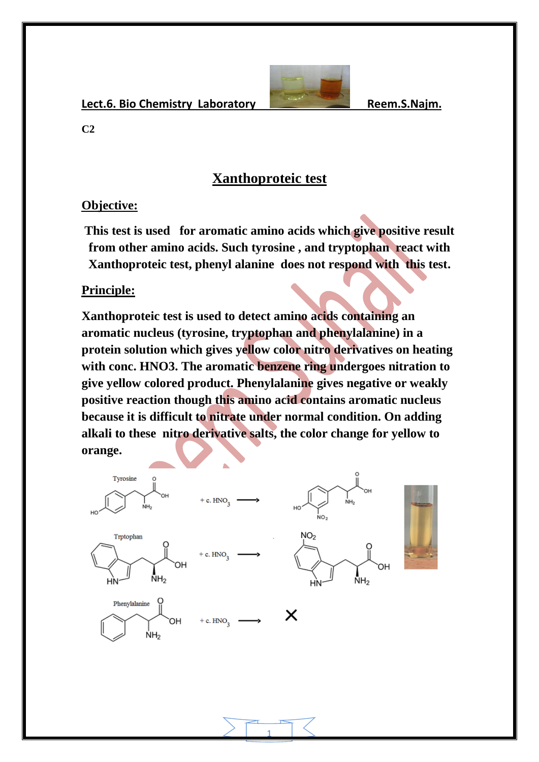Lect.6. Bio Chemistry Laboratory **Reem.S.Najm.** 



**C2**

## **Xanthoproteic test**

#### **Objective:**

**This test is used for aromatic amino acids which give positive result from other amino acids. Such tyrosine , and tryptophan react with Xanthoproteic test, phenyl alanine does not respond with this test.**

**Principle:**

**Xanthoproteic test is used to detect amino acids containing an aromatic nucleus (tyrosine, tryptophan and phenylalanine) in a protein solution which gives yellow color nitro derivatives on heating with conc. HNO3. The aromatic benzene ring undergoes nitration to give yellow colored product. Phenylalanine gives negative or weakly positive reaction though this amino acid contains aromatic nucleus because it is difficult to nitrate under normal condition. On adding alkali to these nitro derivative salts, the color change for yellow to orange.**



1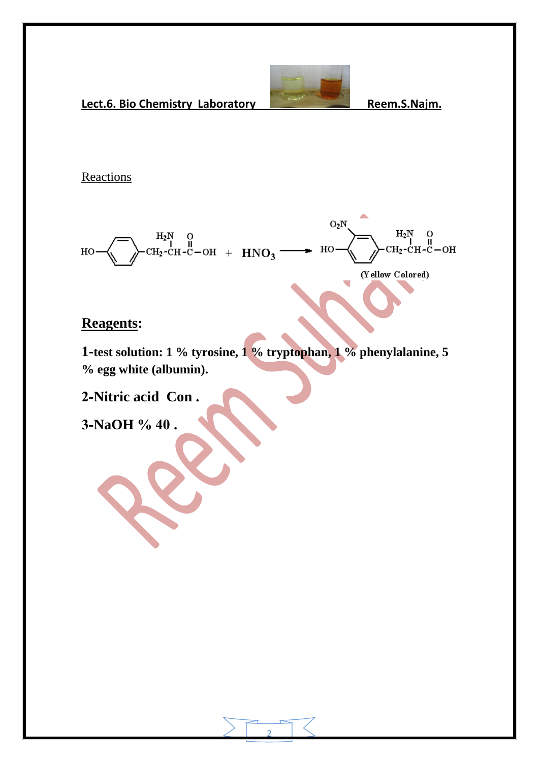

÷.

Lect.6. Bio Chemistry Laboratory **Reem.S.Najm.** 

#### **Reactions**

 $O_2N$  $H_2N$  O<br>CH<sub>2</sub>-CH-C-OH +  $HNO_3$  $H_2N$  $\overline{O}$  $CH<sub>2</sub>$ -CH-C-OH но  $_{\rm HO}$ (Yellow Colored)

### **Reagents:**

**1-test solution: 1 % tyrosine, 1 % tryptophan, 1 % phenylalanine, 5 % egg white (albumin).**

**2-Nitric acid Con .**

**3-NaOH % 44 .**